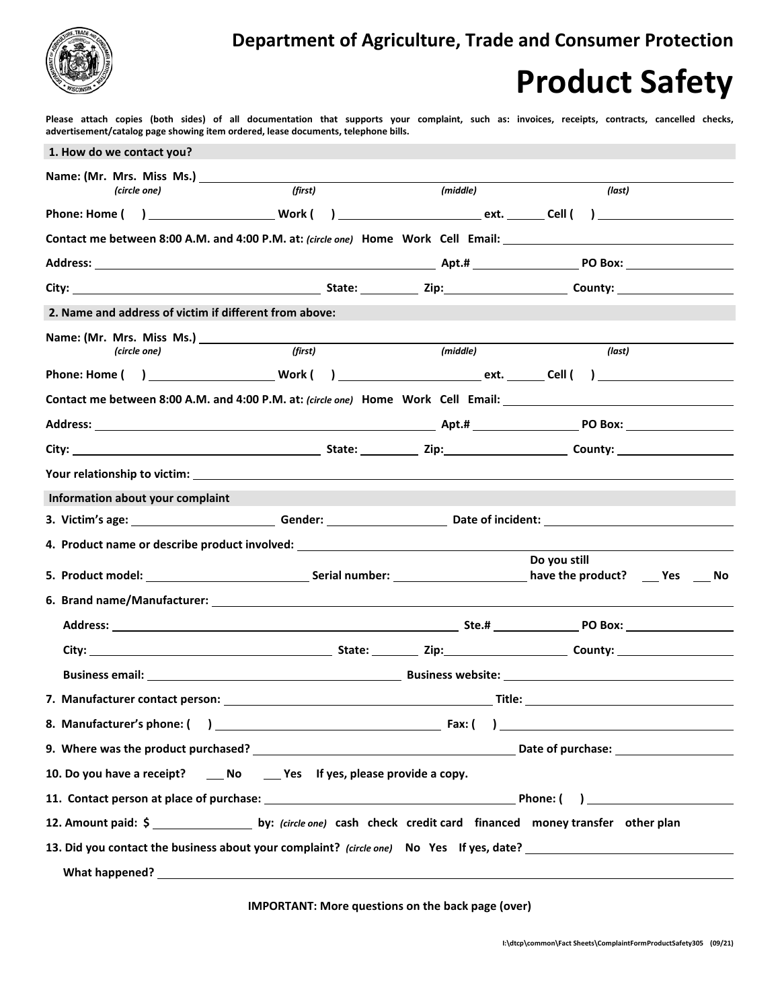

## **Product Safety**

 **Please attach copies (both sides) of all documentation that supports your complaint, such as: invoices, receipts, contracts, cancelled checks, advertisement/catalog page showing item ordered, lease documents, telephone bills.**

| 1. How do we contact you?                                                                                                                                                                                                      |                                                                                                                |          |              |  |  |
|--------------------------------------------------------------------------------------------------------------------------------------------------------------------------------------------------------------------------------|----------------------------------------------------------------------------------------------------------------|----------|--------------|--|--|
|                                                                                                                                                                                                                                |                                                                                                                |          |              |  |  |
| (first)<br>(circle one)                                                                                                                                                                                                        |                                                                                                                | (middle) | (last)       |  |  |
|                                                                                                                                                                                                                                |                                                                                                                |          |              |  |  |
|                                                                                                                                                                                                                                |                                                                                                                |          |              |  |  |
|                                                                                                                                                                                                                                |                                                                                                                |          |              |  |  |
| City: City: Current Communication of City: County: County: County: County: County: County: County: County: County: County: County: County: County: County: County: County: County: County: County: County: County: County: Cou |                                                                                                                |          |              |  |  |
| 2. Name and address of victim if different from above:                                                                                                                                                                         |                                                                                                                |          |              |  |  |
|                                                                                                                                                                                                                                |                                                                                                                |          |              |  |  |
| (first)<br>(circle one)                                                                                                                                                                                                        |                                                                                                                | (middle) | (last)       |  |  |
|                                                                                                                                                                                                                                |                                                                                                                |          |              |  |  |
| Contact me between 8:00 A.M. and 4:00 P.M. at: (circle one) Home Work Cell Email: 100 March 2010 March 2010 Ma                                                                                                                 |                                                                                                                |          |              |  |  |
|                                                                                                                                                                                                                                |                                                                                                                |          |              |  |  |
|                                                                                                                                                                                                                                |                                                                                                                |          |              |  |  |
|                                                                                                                                                                                                                                |                                                                                                                |          |              |  |  |
| Information about your complaint                                                                                                                                                                                               |                                                                                                                |          |              |  |  |
| 3. Victim's age: ___________________________Gender: _______________________Date of incident: ________________________                                                                                                          |                                                                                                                |          |              |  |  |
| 4. Product name or describe product involved: __________________________________                                                                                                                                               |                                                                                                                |          |              |  |  |
|                                                                                                                                                                                                                                | 5. Product model: No Contact Marian Serial number: No Contact Marian Lines and Marian Marian Marian Marian Mar |          | Do you still |  |  |
|                                                                                                                                                                                                                                |                                                                                                                |          |              |  |  |
|                                                                                                                                                                                                                                |                                                                                                                |          |              |  |  |
|                                                                                                                                                                                                                                |                                                                                                                |          |              |  |  |
|                                                                                                                                                                                                                                |                                                                                                                |          |              |  |  |
|                                                                                                                                                                                                                                |                                                                                                                |          |              |  |  |
|                                                                                                                                                                                                                                |                                                                                                                |          |              |  |  |
|                                                                                                                                                                                                                                |                                                                                                                |          |              |  |  |
| 10. Do you have a receipt? _____ No ______ Yes If yes, please provide a copy.                                                                                                                                                  |                                                                                                                |          |              |  |  |
|                                                                                                                                                                                                                                |                                                                                                                |          |              |  |  |
| 12. Amount paid: \$ ______________________ by: (circle one) cash check credit card financed money transfer other plan                                                                                                          |                                                                                                                |          |              |  |  |
| 13. Did you contact the business about your complaint? (circle one) No Yes If yes, date?                                                                                                                                       |                                                                                                                |          |              |  |  |
| What happened? Notice that the contract of the contract of the contract of the contract of the contract of the contract of the contract of the contract of the contract of the contract of the contract of the contract of the |                                                                                                                |          |              |  |  |

**IMPORTANT: More questions on the back page (over)**